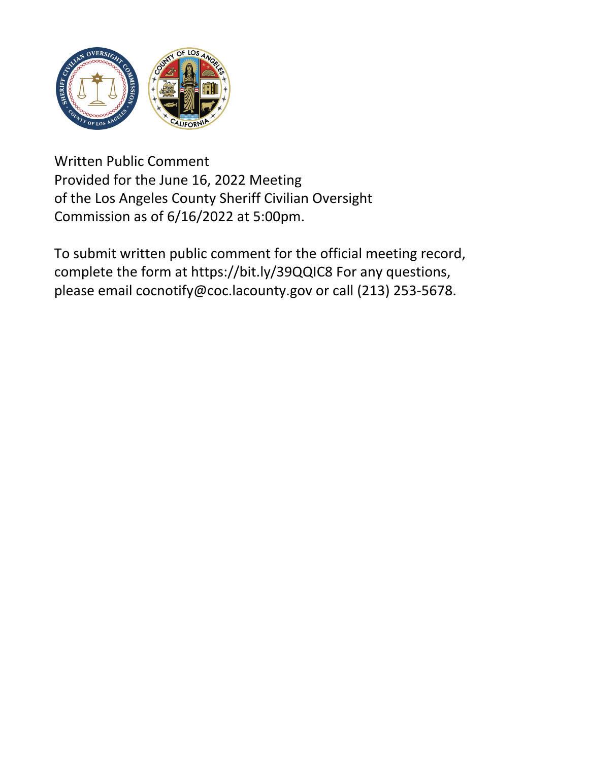

Written Public Comment Provided for the June 16, 2022 Meeting of the Los Angeles County Sheriff Civilian Oversight Commission as of 6/16/2022 at 5:00pm.

To submit written public comment for the official meeting recor[d,](https://bit.ly/39QQIC8) complete the form at https://bit.ly/39QQIC8 For any questions, please email cocnotify@coc.lacounty.gov or call (213) 253-5678.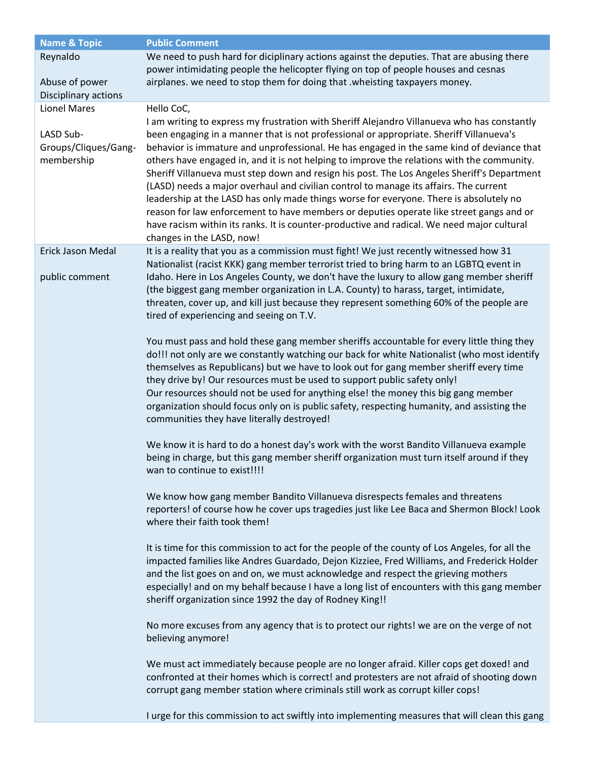| <b>Name &amp; Topic</b>                            | <b>Public Comment</b>                                                                                                                                                                                                                                                                                                                                                                                                                                                                                                                                                                                                                                                                                                                                                                                                                                                                     |
|----------------------------------------------------|-------------------------------------------------------------------------------------------------------------------------------------------------------------------------------------------------------------------------------------------------------------------------------------------------------------------------------------------------------------------------------------------------------------------------------------------------------------------------------------------------------------------------------------------------------------------------------------------------------------------------------------------------------------------------------------------------------------------------------------------------------------------------------------------------------------------------------------------------------------------------------------------|
| Reynaldo<br>Abuse of power<br>Disciplinary actions | We need to push hard for diciplinary actions against the deputies. That are abusing there<br>power intimidating people the helicopter flying on top of people houses and cesnas<br>airplanes. we need to stop them for doing that .wheisting taxpayers money.                                                                                                                                                                                                                                                                                                                                                                                                                                                                                                                                                                                                                             |
| <b>Lionel Mares</b>                                | Hello CoC,                                                                                                                                                                                                                                                                                                                                                                                                                                                                                                                                                                                                                                                                                                                                                                                                                                                                                |
| LASD Sub-<br>Groups/Cliques/Gang-<br>membership    | I am writing to express my frustration with Sheriff Alejandro Villanueva who has constantly<br>been engaging in a manner that is not professional or appropriate. Sheriff Villanueva's<br>behavior is immature and unprofessional. He has engaged in the same kind of deviance that<br>others have engaged in, and it is not helping to improve the relations with the community.<br>Sheriff Villanueva must step down and resign his post. The Los Angeles Sheriff's Department<br>(LASD) needs a major overhaul and civilian control to manage its affairs. The current<br>leadership at the LASD has only made things worse for everyone. There is absolutely no<br>reason for law enforcement to have members or deputies operate like street gangs and or<br>have racism within its ranks. It is counter-productive and radical. We need major cultural<br>changes in the LASD, now! |
| Erick Jason Medal<br>public comment                | It is a reality that you as a commission must fight! We just recently witnessed how 31<br>Nationalist (racist KKK) gang member terrorist tried to bring harm to an LGBTQ event in<br>Idaho. Here in Los Angeles County, we don't have the luxury to allow gang member sheriff<br>(the biggest gang member organization in L.A. County) to harass, target, intimidate,<br>threaten, cover up, and kill just because they represent something 60% of the people are<br>tired of experiencing and seeing on T.V.<br>You must pass and hold these gang member sheriffs accountable for every little thing they<br>do!!! not only are we constantly watching our back for white Nationalist (who most identify                                                                                                                                                                                 |
|                                                    | themselves as Republicans) but we have to look out for gang member sheriff every time<br>they drive by! Our resources must be used to support public safety only!<br>Our resources should not be used for anything else! the money this big gang member<br>organization should focus only on is public safety, respecting humanity, and assisting the<br>communities they have literally destroyed!<br>We know it is hard to do a honest day's work with the worst Bandito Villanueva example                                                                                                                                                                                                                                                                                                                                                                                             |
|                                                    | being in charge, but this gang member sheriff organization must turn itself around if they<br>wan to continue to exist!!!!                                                                                                                                                                                                                                                                                                                                                                                                                                                                                                                                                                                                                                                                                                                                                                |
|                                                    | We know how gang member Bandito Villanueva disrespects females and threatens<br>reporters! of course how he cover ups tragedies just like Lee Baca and Shermon Block! Look<br>where their faith took them!                                                                                                                                                                                                                                                                                                                                                                                                                                                                                                                                                                                                                                                                                |
|                                                    | It is time for this commission to act for the people of the county of Los Angeles, for all the<br>impacted families like Andres Guardado, Dejon Kizziee, Fred Williams, and Frederick Holder<br>and the list goes on and on, we must acknowledge and respect the grieving mothers<br>especially! and on my behalf because I have a long list of encounters with this gang member<br>sheriff organization since 1992 the day of Rodney King!!                                                                                                                                                                                                                                                                                                                                                                                                                                              |
|                                                    | No more excuses from any agency that is to protect our rights! we are on the verge of not<br>believing anymore!                                                                                                                                                                                                                                                                                                                                                                                                                                                                                                                                                                                                                                                                                                                                                                           |
|                                                    | We must act immediately because people are no longer afraid. Killer cops get doxed! and<br>confronted at their homes which is correct! and protesters are not afraid of shooting down<br>corrupt gang member station where criminals still work as corrupt killer cops!                                                                                                                                                                                                                                                                                                                                                                                                                                                                                                                                                                                                                   |
|                                                    | I urge for this commission to act swiftly into implementing measures that will clean this gang                                                                                                                                                                                                                                                                                                                                                                                                                                                                                                                                                                                                                                                                                                                                                                                            |